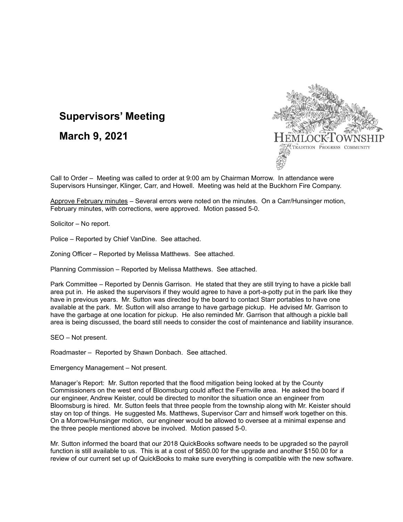## **Supervisors' Meeting**

**March 9, 2021**



Call to Order – Meeting was called to order at 9:00 am by Chairman Morrow. In attendance were Supervisors Hunsinger, Klinger, Carr, and Howell. Meeting was held at the Buckhorn Fire Company.

Approve February minutes – Several errors were noted on the minutes. On a Carr/Hunsinger motion, February minutes, with corrections, were approved. Motion passed 5-0.

Solicitor – No report.

Police – Reported by Chief VanDine. See attached.

Zoning Officer – Reported by Melissa Matthews. See attached.

Planning Commission – Reported by Melissa Matthews. See attached.

Park Committee – Reported by Dennis Garrison. He stated that they are still trying to have a pickle ball area put in. He asked the supervisors if they would agree to have a port-a-potty put in the park like they have in previous years. Mr. Sutton was directed by the board to contact Starr portables to have one available at the park. Mr. Sutton will also arrange to have garbage pickup. He advised Mr. Garrison to have the garbage at one location for pickup. He also reminded Mr. Garrison that although a pickle ball area is being discussed, the board still needs to consider the cost of maintenance and liability insurance.

SEO – Not present.

Roadmaster – Reported by Shawn Donbach. See attached.

Emergency Management – Not present.

Manager's Report: Mr. Sutton reported that the flood mitigation being looked at by the County Commissioners on the west end of Bloomsburg could affect the Fernville area. He asked the board if our engineer, Andrew Keister, could be directed to monitor the situation once an engineer from Bloomsburg is hired. Mr. Sutton feels that three people from the township along with Mr. Keister should stay on top of things. He suggested Ms. Matthews, Supervisor Carr and himself work together on this. On a Morrow/Hunsinger motion, our engineer would be allowed to oversee at a minimal expense and the three people mentioned above be involved. Motion passed 5-0.

Mr. Sutton informed the board that our 2018 QuickBooks software needs to be upgraded so the payroll function is still available to us. This is at a cost of \$650.00 for the upgrade and another \$150.00 for a review of our current set up of QuickBooks to make sure everything is compatible with the new software.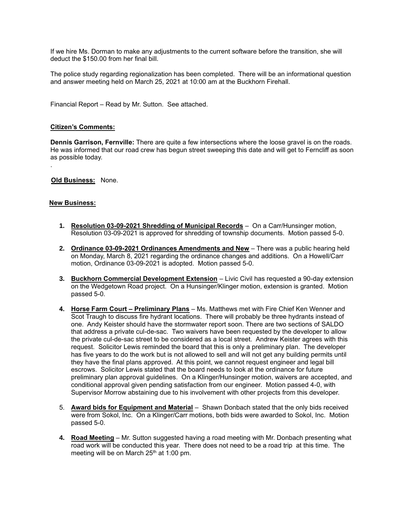If we hire Ms. Dorman to make any adjustments to the current software before the transition, she will deduct the \$150.00 from her final bill.

The police study regarding regionalization has been completed. There will be an informational question and answer meeting held on March 25, 2021 at 10:00 am at the Buckhorn Firehall.

Financial Report – Read by Mr. Sutton. See attached.

## **Citizen's Comments:**

**Dennis Garrison, Fernville:** There are quite a few intersections where the loose gravel is on the roads. He was informed that our road crew has begun street sweeping this date and will get to Ferncliff as soon as possible today.

 **Old Business:** None.

## **New Business:**

.

- **1. Resolution 03-09-2021 Shredding of Municipal Records** On a Carr/Hunsinger motion, Resolution 03-09-2021 is approved for shredding of township documents. Motion passed 5-0.
- **2. Ordinance 03-09-2021 Ordinances Amendments and New** There was a public hearing held on Monday, March 8, 2021 regarding the ordinance changes and additions. On a Howell/Carr motion, Ordinance 03-09-2021 is adopted. Motion passed 5-0.
- **3. Buckhorn Commercial Development Extension** Livic Civil has requested a 90-day extension on the Wedgetown Road project. On a Hunsinger/Klinger motion, extension is granted. Motion passed 5-0.
- **4. Horse Farm Court – Preliminary Plans** Ms. Matthews met with Fire Chief Ken Wenner and Scot Traugh to discuss fire hydrant locations. There will probably be three hydrants instead of one. Andy Keister should have the stormwater report soon. There are two sections of SALDO that address a private cul-de-sac. Two waivers have been requested by the developer to allow the private cul-de-sac street to be considered as a local street. Andrew Keister agrees with this request. Solicitor Lewis reminded the board that this is only a preliminary plan. The developer has five years to do the work but is not allowed to sell and will not get any building permits until they have the final plans approved. At this point, we cannot request engineer and legal bill escrows. Solicitor Lewis stated that the board needs to look at the ordinance for future preliminary plan approval guidelines. On a Klinger/Hunsinger motion, waivers are accepted, and conditional approval given pending satisfaction from our engineer. Motion passed 4-0, with Supervisor Morrow abstaining due to his involvement with other projects from this developer.
- 5. **Award bids for Equipment and Material** Shawn Donbach stated that the only bids received were from Sokol, Inc. On a Klinger/Carr motions, both bids were awarded to Sokol, Inc. Motion passed 5-0.
- **4. Road Meeting** Mr. Sutton suggested having a road meeting with Mr. Donbach presenting what road work will be conducted this year. There does not need to be a road trip at this time. The meeting will be on March 25<sup>th</sup> at 1:00 pm.